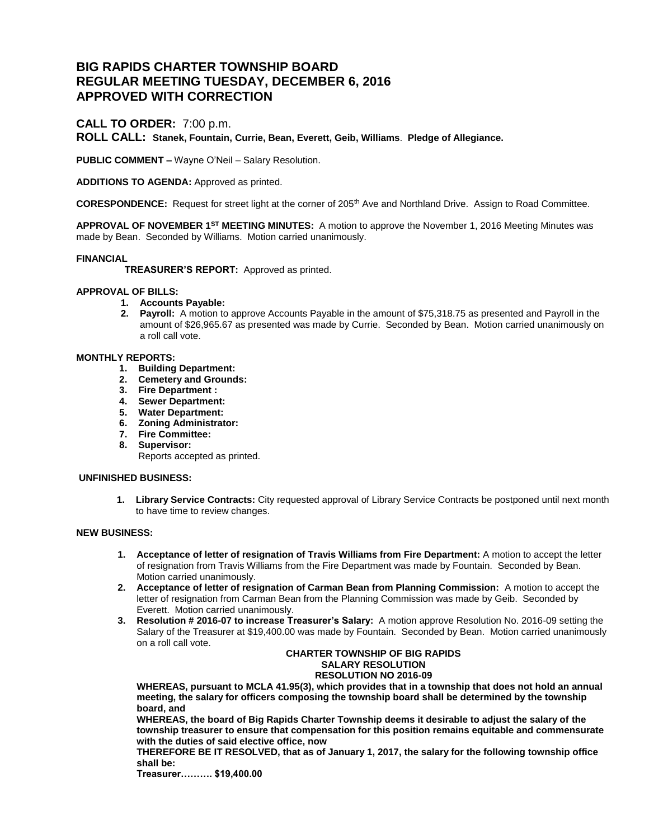# **BIG RAPIDS CHARTER TOWNSHIP BOARD REGULAR MEETING TUESDAY, DECEMBER 6, 2016 APPROVED WITH CORRECTION**

# **CALL TO ORDER:** 7:00 p.m.

**ROLL CALL: Stanek, Fountain, Currie, Bean, Everett, Geib, Williams**. **Pledge of Allegiance.**

**PUBLIC COMMENT –** Wayne O'Neil – Salary Resolution.

**ADDITIONS TO AGENDA:** Approved as printed.

**CORESPONDENCE:** Request for street light at the corner of 205<sup>th</sup> Ave and Northland Drive. Assign to Road Committee.

**APPROVAL OF NOVEMBER 1ST MEETING MINUTES:** A motion to approve the November 1, 2016 Meeting Minutes was made by Bean. Seconded by Williams. Motion carried unanimously.

# **FINANCIAL**

 **TREASURER'S REPORT:** Approved as printed.

# **APPROVAL OF BILLS:**

- **1. Accounts Payable:**
- **2. Payroll:** A motion to approve Accounts Payable in the amount of \$75,318.75 as presented and Payroll in the amount of \$26,965.67 as presented was made by Currie. Seconded by Bean. Motion carried unanimously on a roll call vote.

# **MONTHLY REPORTS:**

- **1. Building Department:**
- **2. Cemetery and Grounds:**
- **3. Fire Department :**
- **4. Sewer Department:**
- **5. Water Department:**
- **6. Zoning Administrator:**
- **7. Fire Committee:**
- **8. Supervisor:**

Reports accepted as printed.

# **UNFINISHED BUSINESS:**

**1. Library Service Contracts:** City requested approval of Library Service Contracts be postponed until next month to have time to review changes.

# **NEW BUSINESS:**

- **1. Acceptance of letter of resignation of Travis Williams from Fire Department:** A motion to accept the letter of resignation from Travis Williams from the Fire Department was made by Fountain. Seconded by Bean. Motion carried unanimously.
- **2. Acceptance of letter of resignation of Carman Bean from Planning Commission:** A motion to accept the letter of resignation from Carman Bean from the Planning Commission was made by Geib. Seconded by Everett. Motion carried unanimously.
- **3. Resolution # 2016-07 to increase Treasurer's Salary:** A motion approve Resolution No. 2016-09 setting the Salary of the Treasurer at \$19,400.00 was made by Fountain. Seconded by Bean. Motion carried unanimously on a roll call vote.

#### **CHARTER TOWNSHIP OF BIG RAPIDS SALARY RESOLUTION RESOLUTION NO 2016-09**

**WHEREAS, pursuant to MCLA 41.95(3), which provides that in a township that does not hold an annual meeting, the salary for officers composing the township board shall be determined by the township board, and**

**WHEREAS, the board of Big Rapids Charter Township deems it desirable to adjust the salary of the township treasurer to ensure that compensation for this position remains equitable and commensurate with the duties of said elective office, now**

**THEREFORE BE IT RESOLVED, that as of January 1, 2017, the salary for the following township office shall be:**

**Treasurer………. \$19,400.00**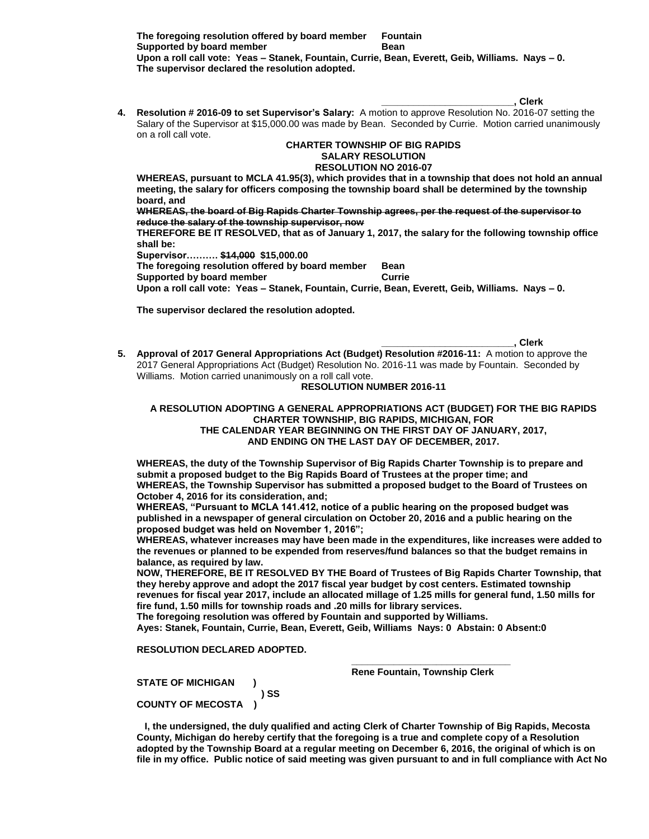**The foregoing resolution offered by board member Fountain Supported by board member Bean Upon a roll call vote: Yeas – Stanek, Fountain, Currie, Bean, Everett, Geib, Williams. Nays – 0. The supervisor declared the resolution adopted.**

- **\_\_\_\_\_\_\_\_\_\_\_\_\_\_\_\_\_\_\_\_\_\_\_\_\_, Clerk**
- **4. Resolution # 2016-09 to set Supervisor's Salary:** A motion to approve Resolution No. 2016-07 setting the Salary of the Supervisor at \$15,000.00 was made by Bean. Seconded by Currie. Motion carried unanimously on a roll call vote.

#### **CHARTER TOWNSHIP OF BIG RAPIDS SALARY RESOLUTION RESOLUTION NO 2016-07**

**WHEREAS, pursuant to MCLA 41.95(3), which provides that in a township that does not hold an annual meeting, the salary for officers composing the township board shall be determined by the township board, and**

**WHEREAS, the board of Big Rapids Charter Township agrees, per the request of the supervisor to reduce the salary of the township supervisor, now**

**THEREFORE BE IT RESOLVED, that as of January 1, 2017, the salary for the following township office shall be:**

**Supervisor………. \$14,000 \$15,000.00**

**The foregoing resolution offered by board member Bean Supported by board member <b>CULL** Currie

**Upon a roll call vote: Yeas – Stanek, Fountain, Currie, Bean, Everett, Geib, Williams. Nays – 0.**

**The supervisor declared the resolution adopted.**

**\_\_\_\_\_\_\_\_\_\_\_\_\_\_\_\_\_\_\_\_\_\_\_\_\_, Clerk**

**5. Approval of 2017 General Appropriations Act (Budget) Resolution #2016-11:** A motion to approve the 2017 General Appropriations Act (Budget) Resolution No. 2016-11 was made by Fountain. Seconded by Williams. Motion carried unanimously on a roll call vote.

# **RESOLUTION NUMBER 2016-11**

# **A RESOLUTION ADOPTING A GENERAL APPROPRIATIONS ACT (BUDGET) FOR THE BIG RAPIDS CHARTER TOWNSHIP, BIG RAPIDS, MICHIGAN, FOR THE CALENDAR YEAR BEGINNING ON THE FIRST DAY OF JANUARY, 2017, AND ENDING ON THE LAST DAY OF DECEMBER, 2017.**

**WHEREAS, the duty of the Township Supervisor of Big Rapids Charter Township is to prepare and submit a proposed budget to the Big Rapids Board of Trustees at the proper time; and WHEREAS, the Township Supervisor has submitted a proposed budget to the Board of Trustees on October 4, 2016 for its consideration, and;**

**WHEREAS, "Pursuant to MCLA 141.412, notice of a public hearing on the proposed budget was published in a newspaper of general circulation on October 20, 2016 and a public hearing on the proposed budget was held on November 1, 2016";**

**WHEREAS, whatever increases may have been made in the expenditures, like increases were added to the revenues or planned to be expended from reserves/fund balances so that the budget remains in balance, as required by law.** 

**NOW, THEREFORE, BE IT RESOLVED BY THE Board of Trustees of Big Rapids Charter Township, that they hereby approve and adopt the 2017 fiscal year budget by cost centers. Estimated township revenues for fiscal year 2017, include an allocated millage of 1.25 mills for general fund, 1.50 mills for fire fund, 1.50 mills for township roads and .20 mills for library services.** 

**The foregoing resolution was offered by Fountain and supported by Williams.** 

 **\_\_\_\_\_\_\_\_\_\_\_\_\_\_\_\_\_\_\_\_\_\_\_\_\_\_\_\_\_\_**

**Ayes: Stanek, Fountain, Currie, Bean, Everett, Geib, Williams Nays: 0 Abstain: 0 Absent:0**

# **RESOLUTION DECLARED ADOPTED.**

**Rene Fountain, Township Clerk** 

**STATE OF MICHIGAN ) ) SS COUNTY OF MECOSTA )**

 **I, the undersigned, the duly qualified and acting Clerk of Charter Township of Big Rapids, Mecosta County, Michigan do hereby certify that the foregoing is a true and complete copy of a Resolution adopted by the Township Board at a regular meeting on December 6, 2016, the original of which is on file in my office. Public notice of said meeting was given pursuant to and in full compliance with Act No**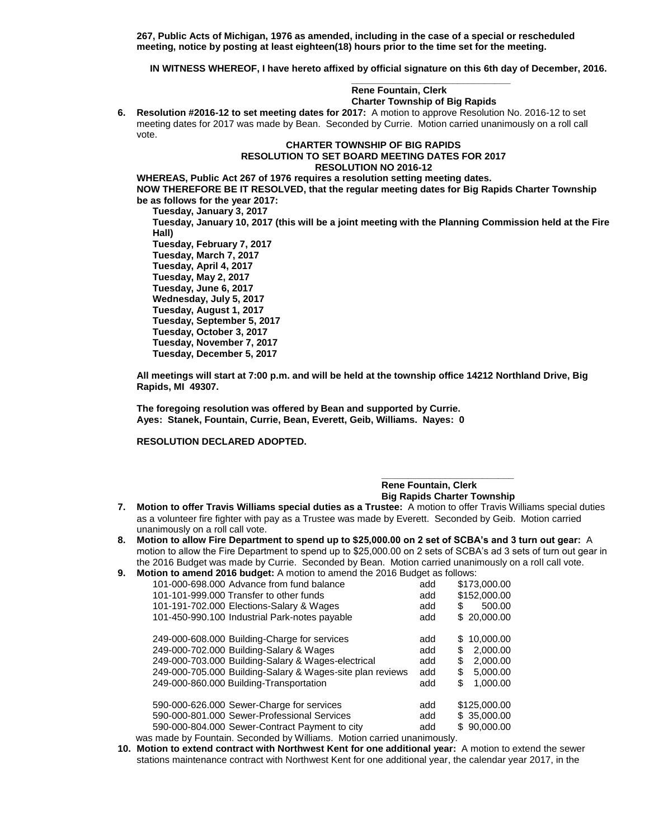**267, Public Acts of Michigan, 1976 as amended, including in the case of a special or rescheduled meeting, notice by posting at least eighteen(18) hours prior to the time set for the meeting.** 

 **IN WITNESS WHEREOF, I have hereto affixed by official signature on this 6th day of December, 2016.** 

# **Rene Fountain, Clerk Charter Township of Big Rapids**

**6. Resolution #2016-12 to set meeting dates for 2017:** A motion to approve Resolution No. 2016-12 to set meeting dates for 2017 was made by Bean. Seconded by Currie. Motion carried unanimously on a roll call vote.

 **\_\_\_\_\_\_\_\_\_\_\_\_\_\_\_\_\_\_\_\_\_\_\_\_\_\_\_\_\_\_**

# **CHARTER TOWNSHIP OF BIG RAPIDS RESOLUTION TO SET BOARD MEETING DATES FOR 2017 RESOLUTION NO 2016-12**

**WHEREAS, Public Act 267 of 1976 requires a resolution setting meeting dates. NOW THEREFORE BE IT RESOLVED, that the regular meeting dates for Big Rapids Charter Township be as follows for the year 2017:**

**Tuesday, January 3, 2017 Tuesday, January 10, 2017 (this will be a joint meeting with the Planning Commission held at the Fire Hall) Tuesday, February 7, 2017 Tuesday, March 7, 2017 Tuesday, April 4, 2017 Tuesday, May 2, 2017 Tuesday, June 6, 2017 Wednesday, July 5, 2017 Tuesday, August 1, 2017 Tuesday, September 5, 2017 Tuesday, October 3, 2017 Tuesday, November 7, 2017 Tuesday, December 5, 2017**

**All meetings will start at 7:00 p.m. and will be held at the township office 14212 Northland Drive, Big Rapids, MI 49307.**

**The foregoing resolution was offered by Bean and supported by Currie. Ayes: Stanek, Fountain, Currie, Bean, Everett, Geib, Williams. Nayes: 0**

**RESOLUTION DECLARED ADOPTED.**

#### **\_\_\_\_\_\_\_\_\_\_\_\_\_\_\_\_\_\_\_\_\_\_\_\_\_ Rene Fountain, Clerk Big Rapids Charter Township**

- **7. Motion to offer Travis Williams special duties as a Trustee:** A motion to offer Travis Williams special duties as a volunteer fire fighter with pay as a Trustee was made by Everett. Seconded by Geib. Motion carried unanimously on a roll call vote.
- **8. Motion to allow Fire Department to spend up to \$25,000.00 on 2 set of SCBA's and 3 turn out gear:** A motion to allow the Fire Department to spend up to \$25,000.00 on 2 sets of SCBA's ad 3 sets of turn out gear in the 2016 Budget was made by Currie. Seconded by Bean. Motion carried unanimously on a roll call vote.

| 9. |  | <b>Motion to amend 2016 budget:</b> A motion to amend the 2016 Budget as follows: |
|----|--|-----------------------------------------------------------------------------------|
|----|--|-----------------------------------------------------------------------------------|

| 101-000-698,000 Advance from fund balance                             | add | \$173,000.00     |  |  |
|-----------------------------------------------------------------------|-----|------------------|--|--|
| 101-101-999,000 Transfer to other funds                               | add | \$152,000.00     |  |  |
| 101-191-702.000 Elections-Salary & Wages                              | add | 500.00<br>S      |  |  |
| 101-450-990.100 Industrial Park-notes payable                         | add | \$20,000.00      |  |  |
|                                                                       |     |                  |  |  |
| 249-000-608.000 Building-Charge for services                          | add | 10.000.00<br>\$. |  |  |
| 249-000-702.000 Building-Salary & Wages                               | add | 2.000.00<br>\$   |  |  |
| 249-000-703.000 Building-Salary & Wages-electrical                    | add | 2,000.00<br>\$   |  |  |
| 249-000-705.000 Building-Salary & Wages-site plan reviews             | add | \$<br>5.000.00   |  |  |
| 249-000-860.000 Building-Transportation                               | add | \$<br>1.000.00   |  |  |
|                                                                       |     |                  |  |  |
| 590-000-626.000 Sewer-Charge for services                             | add | \$125,000.00     |  |  |
| 590-000-801.000 Sewer-Professional Services                           | add | \$35,000,00      |  |  |
| 590-000-804.000 Sewer-Contract Payment to city                        | add | \$90,000.00      |  |  |
| ras made by Fountain, Seconded by Williams Motion carried unanimously |     |                  |  |  |

- was made by Fountain. Seconded by Williams. Motion carried unanimously
- **10. Motion to extend contract with Northwest Kent for one additional year:** A motion to extend the sewer stations maintenance contract with Northwest Kent for one additional year, the calendar year 2017, in the